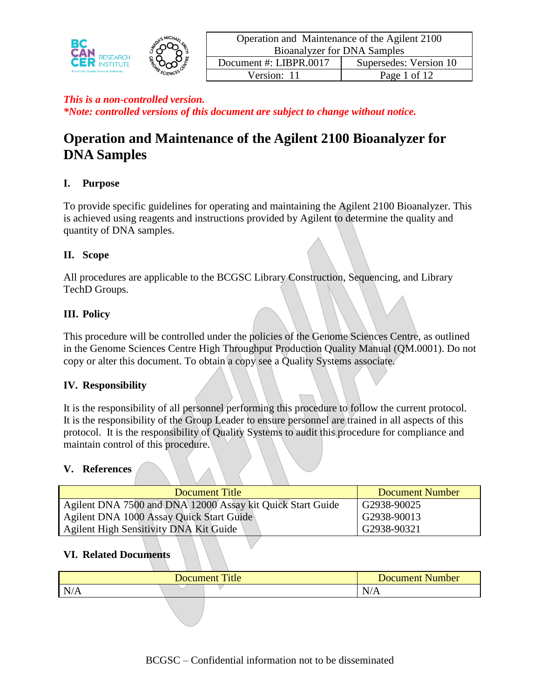

# **Operation and Maintenance of the Agilent 2100 Bioanalyzer for DNA Samples**

## **I. Purpose**

To provide specific guidelines for operating and maintaining the Agilent 2100 Bioanalyzer. This is achieved using reagents and instructions provided by Agilent to determine the quality and quantity of DNA samples.

## **II. Scope**

All procedures are applicable to the BCGSC Library Construction, Sequencing, and Library TechD Groups.

## **III. Policy**

This procedure will be controlled under the policies of the Genome Sciences Centre, as outlined in the Genome Sciences Centre High Throughput Production Quality Manual (QM.0001). Do not copy or alter this document. To obtain a copy see a Quality Systems associate.

## **IV. Responsibility**

It is the responsibility of all personnel performing this procedure to follow the current protocol. It is the responsibility of the Group Leader to ensure personnel are trained in all aspects of this protocol. It is the responsibility of Quality Systems to audit this procedure for compliance and maintain control of this procedure.

## **V. References**

| Document Title                                             | <b>Document Number</b> |
|------------------------------------------------------------|------------------------|
| Agilent DNA 7500 and DNA 12000 Assay kit Quick Start Guide | G2938-90025            |
| Agilent DNA 1000 Assay Quick Start Guide                   | G2938-90013            |
| Agilent High Sensitivity DNA Kit Guide                     | G2938-90321            |

#### **VI. Related Documents**

|     | Title<br>Document | <b>Document Number</b> |
|-----|-------------------|------------------------|
| N/A |                   | $\mathbf{N}$<br>11/T   |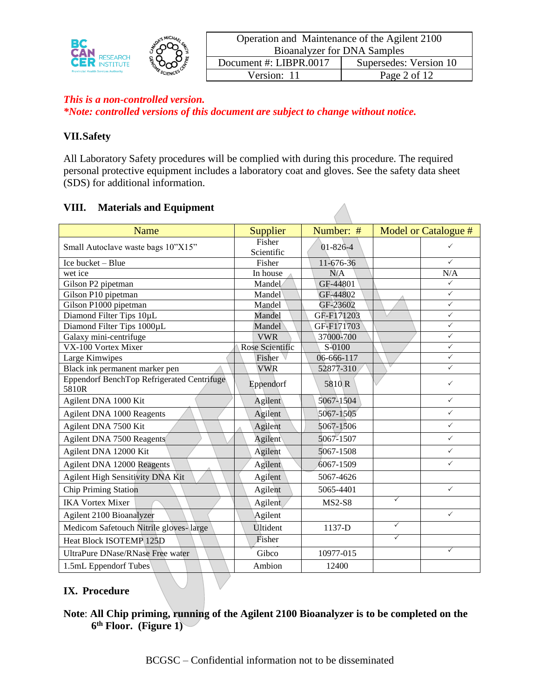

| Operation and Maintenance of the Agilent 2100    |              |  |  |
|--------------------------------------------------|--------------|--|--|
| <b>Bioanalyzer for DNA Samples</b>               |              |  |  |
| Supersedes: Version 10<br>Document #: LIBPR.0017 |              |  |  |
| Version: 11                                      | Page 2 of 12 |  |  |

#### **VII.Safety**

All Laboratory Safety procedures will be complied with during this procedure. The required personal protective equipment includes a laboratory coat and gloves. See the safety data sheet (SDS) for additional information.

## **VIII. Materials and Equipment**

| <b>Name</b>                                         | Supplier             | Number: #      |              | Model or Catalogue # |
|-----------------------------------------------------|----------------------|----------------|--------------|----------------------|
| Small Autoclave waste bags 10"X15"                  | Fisher<br>Scientific | $01 - 826 - 4$ |              | ✓                    |
| Ice bucket - Blue                                   | Fisher               | 11-676-36      |              | $\checkmark$         |
| wet ice                                             | In house             | N/A            |              | N/A                  |
| Gilson P2 pipetman                                  | Mandel               | GF-44801       |              | ✓                    |
| Gilson P10 pipetman                                 | Mandel               | GF-44802       |              | $\checkmark$         |
| Gilson P1000 pipetman                               | Mandel               | GF-23602       |              | $\checkmark$         |
| Diamond Filter Tips 10µL                            | Mandel               | GF-F171203     |              | $\checkmark$         |
| Diamond Filter Tips 1000µL                          | Mandel               | GF-F171703     |              | $\checkmark$         |
| Galaxy mini-centrifuge                              | <b>VWR</b>           | 37000-700      |              | $\checkmark$         |
| VX-100 Vortex Mixer                                 | Rose Scientific      | S-0100         |              | $\checkmark$         |
| Large Kimwipes                                      | Fisher $\vee$        | 06-666-117     |              | $\checkmark$         |
| Black ink permanent marker pen                      | <b>VWR</b>           | 52877-310      |              | ✓                    |
| Eppendorf BenchTop Refrigerated Centrifuge<br>5810R | Eppendorf            | 5810 R         |              | $\checkmark$         |
| Agilent DNA 1000 Kit                                | Agilent              | 5067-1504      |              | $\checkmark$         |
| Agilent DNA 1000 Reagents                           | Agilent              | 5067-1505      |              | $\checkmark$         |
| Agilent DNA 7500 Kit                                | Agilent              | 5067-1506      |              | $\checkmark$         |
| <b>Agilent DNA 7500 Reagents</b>                    | Agilent              | 5067-1507      |              | $\checkmark$         |
| Agilent DNA 12000 Kit                               | Agilent              | 5067-1508      |              | $\checkmark$         |
| Agilent DNA 12000 Reagents                          | Agilent              | 6067-1509      |              | $\checkmark$         |
| Agilent High Sensitivity DNA Kit                    | Agilent              | 5067-4626      |              |                      |
| <b>Chip Priming Station</b>                         | Agilent              | 5065-4401      |              | $\checkmark$         |
| <b>IKA Vortex Mixer</b>                             | Agilent              | <b>MS2-S8</b>  | ✓            |                      |
| Agilent 2100 Bioanalyzer                            | Agilent              |                |              | $\checkmark$         |
| Medicom Safetouch Nitrile gloves-large              | Ultident             | 1137-D         | $\checkmark$ |                      |
| <b>Heat Block ISOTEMP 125D</b>                      | Fisher               |                | ✓            |                      |
| UltraPure DNase/RNase Free water                    | Gibco                | 10977-015      |              | $\checkmark$         |
| 1.5mL Eppendorf Tubes                               | Ambion               | 12400          |              |                      |

# **IX. Procedure**

**Note**: **All Chip priming, running of the Agilent 2100 Bioanalyzer is to be completed on the 6 th Floor. (Figure 1)**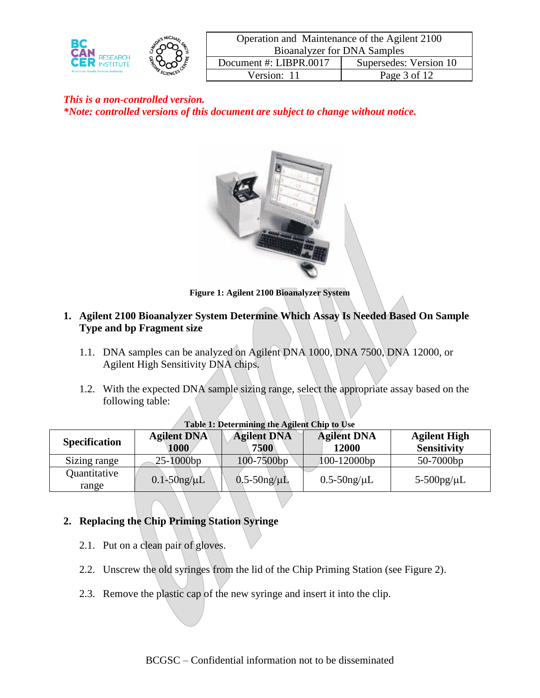

| Operation and Maintenance of the Agilent 2100 |                        |  |  |
|-----------------------------------------------|------------------------|--|--|
| <b>Bioanalyzer for DNA Samples</b>            |                        |  |  |
| Document #: LIBPR.0017                        | Supersedes: Version 10 |  |  |
| Version: 11                                   | Page 3 of 12           |  |  |



**Figure 1: Agilent 2100 Bioanalyzer System**

- **1. Agilent 2100 Bioanalyzer System Determine Which Assay Is Needed Based On Sample Type and bp Fragment size**
	- 1.1. DNA samples can be analyzed on Agilent DNA 1000, DNA 7500, DNA 12000, or Agilent High Sensitivity DNA chips.
	- 1.2. With the expected DNA sample sizing range, select the appropriate assay based on the following table:

| <b>Specification</b>  | <b>Agilent DNA</b><br>1000 | Table 1. Determining the rightile Cinp to Ose<br><b>Agilent DNA</b><br>7500 | <b>Agilent DNA</b><br>12000 | <b>Agilent High</b><br><b>Sensitivity</b> |
|-----------------------|----------------------------|-----------------------------------------------------------------------------|-----------------------------|-------------------------------------------|
| Sizing range          | 25-1000bp                  | $100 - 7500$ bp                                                             | 100-12000bp                 | 50-7000bp                                 |
| Quantitative<br>range | $0.1 - 50$ ng/ $\mu L$     | $0.5 - 50$ ng/ $\mu$ L                                                      | $0.5 - 50$ ng/ $\mu$ L      | $5-500$ pg/ $\mu$ L                       |

#### **Table 1: Determining the Agilent Chip to Use**

#### **2. Replacing the Chip Priming Station Syringe**

- 2.1. Put on a clean pair of gloves.
- 2.2. Unscrew the old syringes from the lid of the Chip Priming Station (see Figure 2).
- 2.3. Remove the plastic cap of the new syringe and insert it into the clip.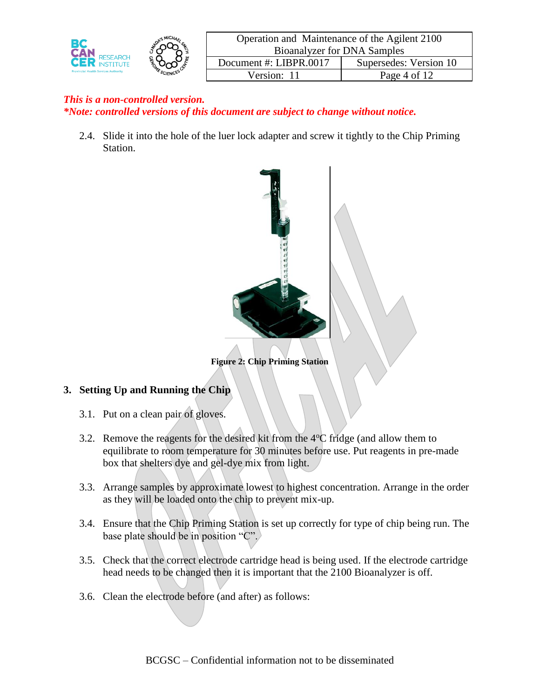

2.4. Slide it into the hole of the luer lock adapter and screw it tightly to the Chip Priming Station.



# **3. Setting Up and Running the Chip**

- 3.1. Put on a clean pair of gloves.
- 3.2. Remove the reagents for the desired kit from the  $4^{\circ}$ C fridge (and allow them to equilibrate to room temperature for 30 minutes before use. Put reagents in pre-made box that shelters dye and gel-dye mix from light.
- 3.3. Arrange samples by approximate lowest to highest concentration. Arrange in the order as they will be loaded onto the chip to prevent mix-up.
- 3.4. Ensure that the Chip Priming Station is set up correctly for type of chip being run. The base plate should be in position "C".
- 3.5. Check that the correct electrode cartridge head is being used. If the electrode cartridge head needs to be changed then it is important that the 2100 Bioanalyzer is off.
- 3.6. Clean the electrode before (and after) as follows: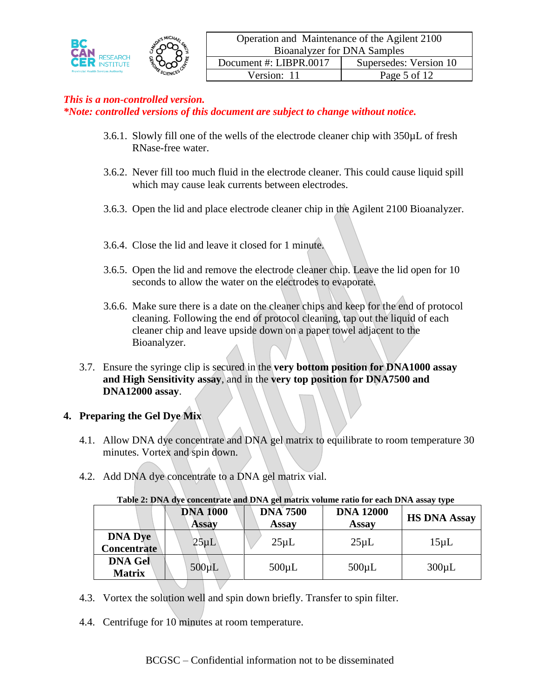- 3.6.1. Slowly fill one of the wells of the electrode cleaner chip with 350µL of fresh RNase-free water.
- 3.6.2. Never fill too much fluid in the electrode cleaner. This could cause liquid spill which may cause leak currents between electrodes.
- 3.6.3. Open the lid and place electrode cleaner chip in the Agilent 2100 Bioanalyzer.
- 3.6.4. Close the lid and leave it closed for 1 minute.
- 3.6.5. Open the lid and remove the electrode cleaner chip. Leave the lid open for 10 seconds to allow the water on the electrodes to evaporate.
- 3.6.6. Make sure there is a date on the cleaner chips and keep for the end of protocol cleaning. Following the end of protocol cleaning, tap out the liquid of each cleaner chip and leave upside down on a paper towel adjacent to the Bioanalyzer.
- 3.7. Ensure the syringe clip is secured in the **very bottom position for DNA1000 assay and High Sensitivity assay**, and in the **very top position for DNA7500 and DNA12000 assay**.

## **4. Preparing the Gel Dye Mix**

- 4.1. Allow DNA dye concentrate and DNA gel matrix to equilibrate to room temperature 30 minutes. Vortex and spin down.
- 4.2. Add DNA dye concentrate to a DNA gel matrix vial.

|                                      | <b>DNA 1000</b><br><b>Assay</b> | <b>DNA 7500</b><br><b>Assay</b> | <b>DNA 12000</b><br><b>Assay</b> | <b>HS DNA Assay</b> |
|--------------------------------------|---------------------------------|---------------------------------|----------------------------------|---------------------|
| <b>DNA Dye</b><br><b>Concentrate</b> | $25 \mu L$                      | $25\mu L$                       | $25\mu L$                        | $15 \mu L$          |
| <b>DNA Gel</b><br><b>Matrix</b>      | $500 \mu L$                     | $500 \mu L$                     | $500 \mu L$                      | $300 \mu L$         |
|                                      |                                 |                                 |                                  |                     |

#### **Table 2: DNA dye concentrate and DNA gel matrix volume ratio for each DNA assay type**

- 4.3. Vortex the solution well and spin down briefly. Transfer to spin filter.
- 4.4. Centrifuge for 10 minutes at room temperature.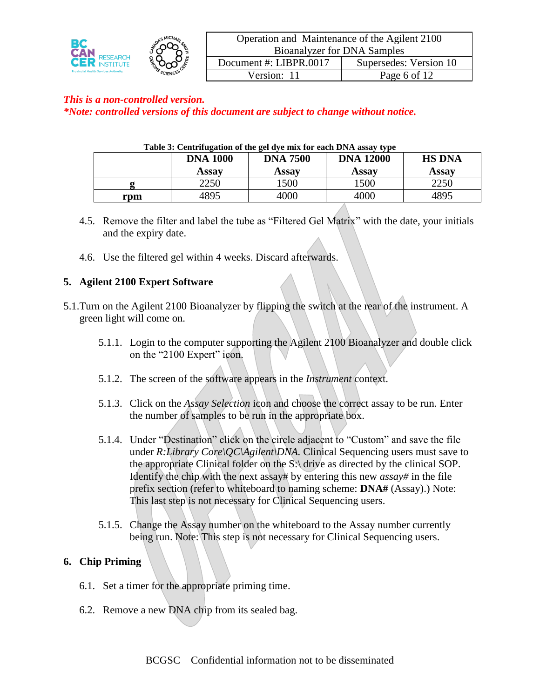

| Table 3: Centrifugation of the gel dye mix for each DNA assay type |                 |                 |                  |               |
|--------------------------------------------------------------------|-----------------|-----------------|------------------|---------------|
|                                                                    | <b>DNA 1000</b> | <b>DNA 7500</b> | <b>DNA 12000</b> | <b>HS DNA</b> |
|                                                                    | Assav           | <b>Assay</b>    | Assav            | Assav         |
|                                                                    | 2250            | 1500            | 500              | 2250          |
| rpm                                                                | 4895            | 4000            | 4000             | 4895          |

- 4.5. Remove the filter and label the tube as "Filtered Gel Matrix" with the date, your initials and the expiry date.
- 4.6. Use the filtered gel within 4 weeks. Discard afterwards.

#### **5. Agilent 2100 Expert Software**

- 5.1.Turn on the Agilent 2100 Bioanalyzer by flipping the switch at the rear of the instrument. A green light will come on.
	- 5.1.1. Login to the computer supporting the Agilent 2100 Bioanalyzer and double click on the "2100 Expert" icon.
	- 5.1.2. The screen of the software appears in the *Instrument* context.
	- 5.1.3. Click on the *Assay Selection* icon and choose the correct assay to be run. Enter the number of samples to be run in the appropriate box.
	- 5.1.4. Under "Destination" click on the circle adjacent to "Custom" and save the file under *R:Library Core* $\langle O C \rangle$ *Agilent* $\langle D N A$ . Clinical Sequencing users must save to the appropriate Clinical folder on the S:\ drive as directed by the clinical SOP. Identify the chip with the next assay# by entering this new *assay#* in the file prefix section (refer to whiteboard to naming scheme: **DNA#** (Assay).) Note: This last step is not necessary for Clinical Sequencing users.
	- 5.1.5. Change the Assay number on the whiteboard to the Assay number currently being run. Note: This step is not necessary for Clinical Sequencing users.

#### **6. Chip Priming**

- 6.1. Set a timer for the appropriate priming time.
- 6.2. Remove a new DNA chip from its sealed bag.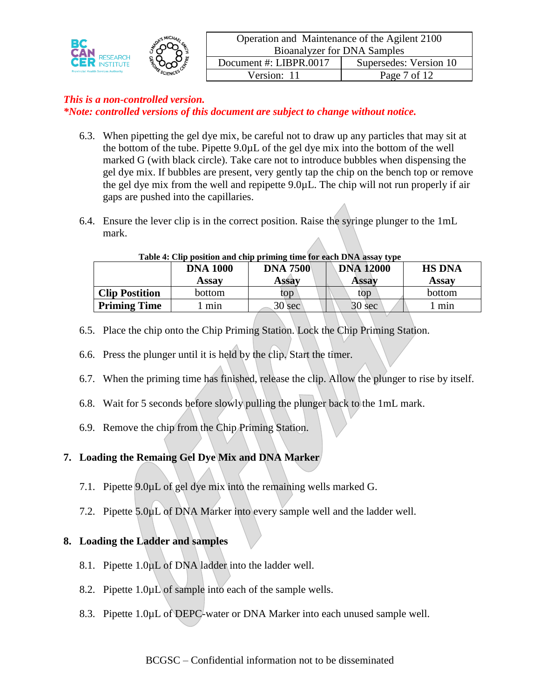|                                     |                        | Operation and Maintenance of the Agilent 2100 |              |  |
|-------------------------------------|------------------------|-----------------------------------------------|--------------|--|
|                                     |                        | <b>Bioanalyzer for DNA Samples</b>            |              |  |
| <b>RESEARCH</b><br><b>INSTITUTE</b> | Document #: LIBPR.0017 | Supersedes: Version 10                        |              |  |
| <b>Ith Services Authority</b>       |                        | Version: 11                                   | Page 7 of 12 |  |

- 6.3. When pipetting the gel dye mix, be careful not to draw up any particles that may sit at the bottom of the tube. Pipette 9.0µL of the gel dye mix into the bottom of the well marked G (with black circle). Take care not to introduce bubbles when dispensing the gel dye mix. If bubbles are present, very gently tap the chip on the bench top or remove the gel dye mix from the well and repipette  $9.0\mu$ L. The chip will not run properly if air gaps are pushed into the capillaries.
- 6.4. Ensure the lever clip is in the correct position. Raise the syringe plunger to the 1mL mark.

| Table 4: Clip position and chip priming time for each DNA assay type |  |  |  |
|----------------------------------------------------------------------|--|--|--|
|                                                                      |  |  |  |

|                       | <b>DNA 1000</b><br>Assav | <b>DNA 7500</b><br>Assav | <b>DNA 12000</b><br>Assav | <b>HS DNA</b><br>Assav |
|-----------------------|--------------------------|--------------------------|---------------------------|------------------------|
| <b>Clip Postition</b> | bottom                   | top                      | top                       | bottom                 |
| <b>Priming Time</b>   | m <sub>1</sub> n         | $30 \text{ sec}$         | 30 <sub>sec</sub>         | min                    |

- 6.5. Place the chip onto the Chip Priming Station. Lock the Chip Priming Station.
- 6.6. Press the plunger until it is held by the clip. Start the timer.
- 6.7. When the priming time has finished, release the clip. Allow the plunger to rise by itself.
- 6.8. Wait for 5 seconds before slowly pulling the plunger back to the 1mL mark.
- 6.9. Remove the chip from the Chip Priming Station.

## **7. Loading the Remaing Gel Dye Mix and DNA Marker**

- 7.1. Pipette 9.0µL of gel dye mix into the remaining wells marked G.
- 7.2. Pipette 5.0µL of DNA Marker into every sample well and the ladder well.

## **8. Loading the Ladder and samples**

- 8.1. Pipette 1.0µL of DNA ladder into the ladder well.
- 8.2. Pipette 1.0µL of sample into each of the sample wells.
- 8.3. Pipette 1.0µL of DEPC-water or DNA Marker into each unused sample well.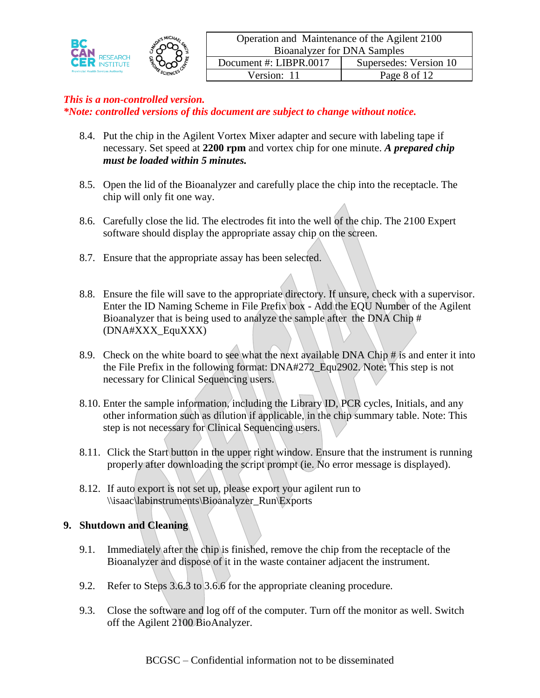

- 8.4. Put the chip in the Agilent Vortex Mixer adapter and secure with labeling tape if necessary. Set speed at **2200 rpm** and vortex chip for one minute. *A prepared chip must be loaded within 5 minutes.*
- 8.5. Open the lid of the Bioanalyzer and carefully place the chip into the receptacle. The chip will only fit one way.
- 8.6. Carefully close the lid. The electrodes fit into the well of the chip. The 2100 Expert software should display the appropriate assay chip on the screen.
- 8.7. Ensure that the appropriate assay has been selected.
- 8.8. Ensure the file will save to the appropriate directory. If unsure, check with a supervisor. Enter the ID Naming Scheme in File Prefix box - Add the EQU Number of the Agilent Bioanalyzer that is being used to analyze the sample after the DNA Chip # (DNA#XXX\_EquXXX)
- 8.9. Check on the white board to see what the next available DNA Chip  $\#$  is and enter it into the File Prefix in the following format: DNA#272\_Equ2902. Note: This step is not necessary for Clinical Sequencing users.
- 8.10. Enter the sample information, including the Library ID, PCR cycles, Initials, and any other information such as dilution if applicable, in the chip summary table. Note: This step is not necessary for Clinical Sequencing users.
- 8.11. Click the Start button in the upper right window. Ensure that the instrument is running properly after downloading the script prompt (ie. No error message is displayed).
- 8.12. If auto export is not set up, please export your agilent run to \\isaac\labinstruments\Bioanalyzer\_Run\Exports

## **9. Shutdown and Cleaning**

- 9.1. Immediately after the chip is finished, remove the chip from the receptacle of the Bioanalyzer and dispose of it in the waste container adjacent the instrument.
- 9.2. Refer to Steps 3.6.3 to 3.6.6 for the appropriate cleaning procedure.
- 9.3. Close the software and log off of the computer. Turn off the monitor as well. Switch off the Agilent 2100 BioAnalyzer.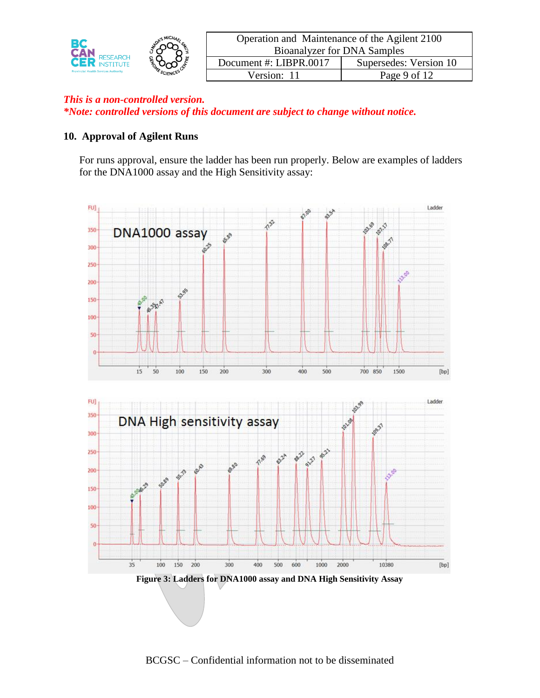|                                             |             | Operation and Maintenance of the Agilent 2100 |                        |  |
|---------------------------------------------|-------------|-----------------------------------------------|------------------------|--|
| <b>BC</b>                                   |             | <b>Bioanalyzer for DNA Samples</b>            |                        |  |
| <b>RESEARCH</b><br>ČER                      |             | Document #: LIBPR.0017                        | Supersedes: Version 10 |  |
| <b>Provincial Health Services Authority</b> | Version: 11 | Page 9 of 12                                  |                        |  |

#### **10. Approval of Agilent Runs**

For runs approval, ensure the ladder has been run properly. Below are examples of ladders for the DNA1000 assay and the High Sensitivity assay:

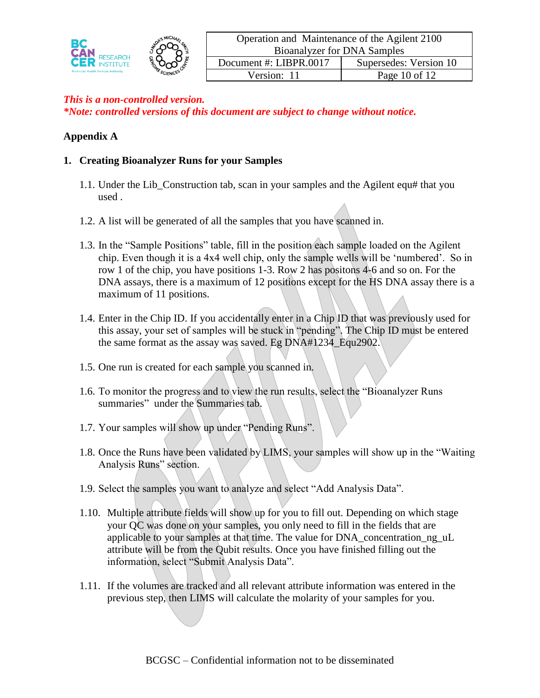

# **Appendix A**

## **1. Creating Bioanalyzer Runs for your Samples**

- 1.1. Under the Lib\_Construction tab, scan in your samples and the Agilent equ# that you used .
- 1.2. A list will be generated of all the samples that you have scanned in.
- 1.3. In the "Sample Positions" table, fill in the position each sample loaded on the Agilent chip. Even though it is a 4x4 well chip, only the sample wells will be 'numbered'. So in row 1 of the chip, you have positions 1-3. Row 2 has positons 4-6 and so on. For the DNA assays, there is a maximum of 12 positions except for the HS DNA assay there is a maximum of 11 positions.
- 1.4. Enter in the Chip ID. If you accidentally enter in a Chip ID that was previously used for this assay, your set of samples will be stuck in "pending". The Chip ID must be entered the same format as the assay was saved. Eg DNA#1234\_Equ2902.
- 1.5. One run is created for each sample you scanned in.
- 1.6. To monitor the progress and to view the run results, select the "Bioanalyzer Runs summaries" under the Summaries tab.
- 1.7. Your samples will show up under "Pending Runs".
- 1.8. Once the Runs have been validated by LIMS, your samples will show up in the "Waiting Analysis Runs" section.
- 1.9. Select the samples you want to analyze and select "Add Analysis Data".
- 1.10. Multiple attribute fields will show up for you to fill out. Depending on which stage your QC was done on your samples, you only need to fill in the fields that are applicable to your samples at that time. The value for DNA\_concentration\_ng\_uL attribute will be from the Qubit results. Once you have finished filling out the information, select "Submit Analysis Data".
- 1.11. If the volumes are tracked and all relevant attribute information was entered in the previous step, then LIMS will calculate the molarity of your samples for you.